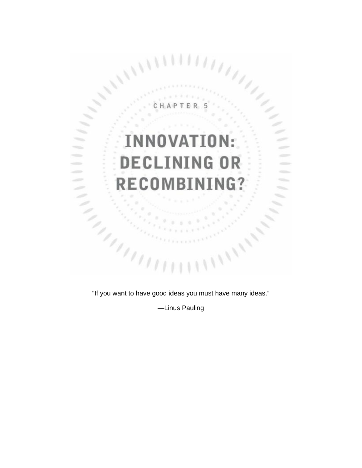

"If you want to have good ideas you must have many ideas."

—Linus Pauling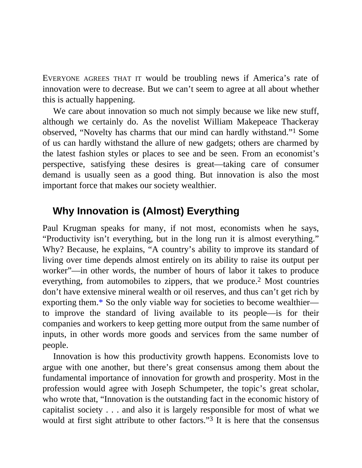EVERYONE AGREES THAT IT would be troubling news if America's rate of innovation were to decrease. But we can't seem to agree at all about whether this is actually happening.

We care about innovation so much not simply because we like new stuff, although we certainly do. As the novelist William Makepeace Thackeray observed, "Novelty has charms that our mind can hardly withstand." 1 Some of us can hardly withstand the allure of new gadgets; others are charmed by the latest fashion styles or places to see and be seen. From an economist's perspective, satisfying these desires is great—taking care of consumer demand is usually seen as a good thing. But innovation is also the most important force that makes our society wealthier.

# **Why Innovation is (Almost) Everything**

Paul Krugman speaks for many, if not most, economists when he says, "Productivity isn't everything, but in the long run it is almost everything." Why? Because, he explains, "A country's ability to improve its standard of living over time depends almost entirely on its ability to raise its output per worker"—in other words, the number of hours of labor it takes to produce everything, from automobiles to zippers, that we produce.<sup>2</sup> Most countries don't have extensive mineral wealth or oil reserves, and thus can't get rich by exporting them.[\\*](#page-14-0) So the only viable way for societies to become wealthier to improve the standard of living available to its people—is for their companies and workers to keep getting more output from the same number of inputs, in other words more goods and services from the same number of people.

<span id="page-1-0"></span>Innovation is how this productivity growth happens. Economists love to argue with one another, but there's great consensus among them about the fundamental importance of innovation for growth and prosperity. Most in the profession would agree with Joseph Schumpeter, the topic's great scholar, who wrote that, "Innovation is the outstanding fact in the economic history of capitalist society . . . and also it is largely responsible for most of what we would at first sight attribute to other factors."<sup>3</sup> It is here that the consensus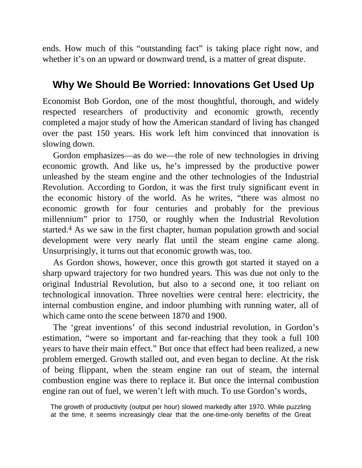ends. How much of this "outstanding fact" is taking place right now, and whether it's on an upward or downward trend, is a matter of great dispute.

#### **Why We Should Be Worried: Innovations Get Used Up**

Economist Bob Gordon, one of the most thoughtful, thorough, and widely respected researchers of productivity and economic growth, recently completed a major study of how the American standard of living has changed over the past 150 years. His work left him convinced that innovation is slowing down.

Gordon emphasizes—as do we—the role of new technologies in driving economic growth. And like us, he's impressed by the productive power unleashed by the steam engine and the other technologies of the Industrial Revolution. According to Gordon, it was the first truly significant event in the economic history of the world. As he writes, "there was almost no economic growth for four centuries and probably for the previous millennium" prior to 1750, or roughly when the Industrial Revolution started.4 As we saw in the first chapter, human population growth and social development were very nearly flat until the steam engine came along. Unsurprisingly, it turns out that economic growth was, too.

As Gordon shows, however, once this growth got started it stayed on a sharp upward trajectory for two hundred years. This was due not only to the original Industrial Revolution, but also to a second one, it too reliant on technological innovation. Three novelties were central here: electricity, the internal combustion engine, and indoor plumbing with running water, all of which came onto the scene between 1870 and 1900.

The 'great inventions' of this second industrial revolution, in Gordon's estimation, "were so important and far-reaching that they took a full 100 years to have their main effect." But once that effect had been realized, a new problem emerged. Growth stalled out, and even began to decline. At the risk of being flippant, when the steam engine ran out of steam, the internal combustion engine was there to replace it. But once the internal combustion engine ran out of fuel, we weren't left with much. To use Gordon's words,

The growth of productivity (output per hour) slowed markedly after 1970. While puzzling at the time, it seems increasingly clear that the one-time-only benefits of the Great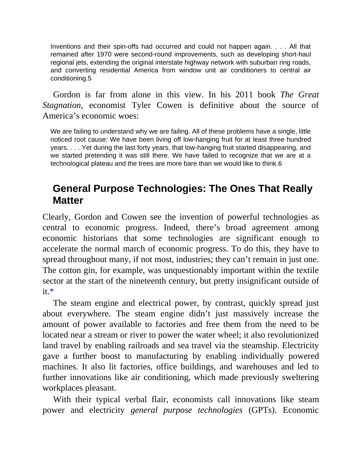Inventions and their spin-offs had occurred and could not happen again. . . . All that remained after 1970 were second-round improvements, such as developing short-haul regional jets, extending the original interstate highway network with suburban ring roads, and converting residential America from window unit air conditioners to central air conditioning.5

Gordon is far from alone in this view. In his 2011 book *The Great Stagnation*, economist Tyler Cowen is definitive about the source of America's economic woes:

We are failing to understand why we are failing. All of these problems have a single, little noticed root cause: We have been living off low-hanging fruit for at least three hundred years. . . . Yet during the last forty years, that low-hanging fruit started disappearing, and we started pretending it was still there. We have failed to recognize that we are at a technological plateau and the trees are more bare than we would like to think.6

### **General Purpose Technologies: The Ones That Really Matter**

Clearly, Gordon and Cowen see the invention of powerful technologies as central to economic progress. Indeed, there's broad agreement among economic historians that some technologies are significant enough to accelerate the normal march of economic progress. To do this, they have to spread throughout many, if not most, industries; they can't remain in just one. The cotton gin, for example, was unquestionably important within the textile sector at the start of the nineteenth century, but pretty insignificant outside of it[.\\*](#page-14-1)

<span id="page-3-0"></span>The steam engine and electrical power, by contrast, quickly spread just about everywhere. The steam engine didn't just massively increase the amount of power available to factories and free them from the need to be located near a stream or river to power the water wheel; it also revolutionized land travel by enabling railroads and sea travel via the steamship. Electricity gave a further boost to manufacturing by enabling individually powered machines. It also lit factories, office buildings, and warehouses and led to further innovations like air conditioning, which made previously sweltering workplaces pleasant.

With their typical verbal flair, economists call innovations like steam power and electricity *general purpose technologies* (GPTs). Economic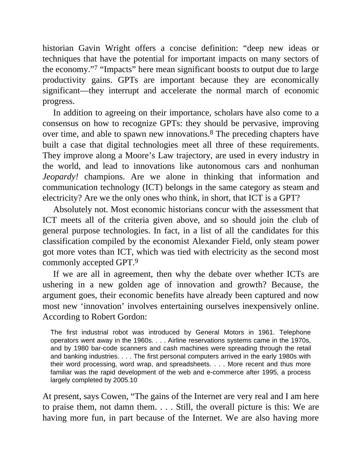historian Gavin Wright offers a concise definition: "deep new ideas or techniques that have the potential for important impacts on many sectors of the economy." 7 "Impacts" here mean significant boosts to output due to large productivity gains. GPTs are important because they are economically significant—they interrupt and accelerate the normal march of economic progress.

In addition to agreeing on their importance, scholars have also come to a consensus on how to recognize GPTs: they should be pervasive, improving over time, and able to spawn new innovations. $8$  The preceding chapters have built a case that digital technologies meet all three of these requirements. They improve along a Moore's Law trajectory, are used in every industry in the world, and lead to innovations like autonomous cars and nonhuman *Jeopardy!* champions. Are we alone in thinking that information and communication technology (ICT) belongs in the same category as steam and electricity? Are we the only ones who think, in short, that ICT is a GPT?

Absolutely not. Most economic historians concur with the assessment that ICT meets all of the criteria given above, and so should join the club of general purpose technologies. In fact, in a list of all the candidates for this classification compiled by the economist Alexander Field, only steam power got more votes than ICT, which was tied with electricity as the second most commonly accepted GPT.9

If we are all in agreement, then why the debate over whether ICTs are ushering in a new golden age of innovation and growth? Because, the argument goes, their economic benefits have already been captured and now most new 'innovation' involves entertaining ourselves inexpensively online. According to Robert Gordon:

The first industrial robot was introduced by General Motors in 1961. Telephone operators went away in the 1960s. . . . Airline reservations systems came in the 1970s, and by 1980 bar-code scanners and cash machines were spreading through the retail and banking industries. . . . The first personal computers arrived in the early 1980s with their word processing, word wrap, and spreadsheets. . . . More recent and thus more familiar was the rapid development of the web and e-commerce after 1995, a process largely completed by 2005.10

At present, says Cowen, "The gains of the Internet are very real and I am here to praise them, not damn them. . . . Still, the overall picture is this: We are having more fun, in part because of the Internet. We are also having more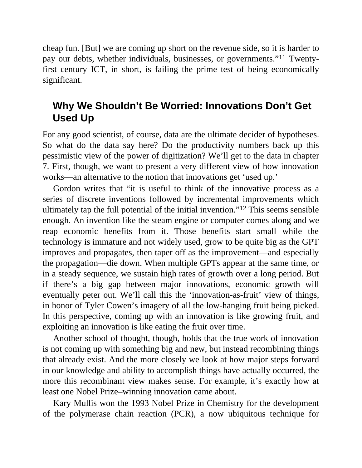cheap fun. [But] we are coming up short on the revenue side, so it is harder to pay our debts, whether individuals, businesses, or governments."<sup>11</sup> Twentyfirst century ICT, in short, is failing the prime test of being economically significant.

## **Why We Shouldn't Be Worried: Innovations Don't Get Used Up**

For any good scientist, of course, data are the ultimate decider of hypotheses. So what do the data say here? Do the productivity numbers back up this pessimistic view of the power of digitization? We'll get to the data in chapter 7. First, though, we want to present a very different view of how innovation works—an alternative to the notion that innovations get 'used up.'

Gordon writes that "it is useful to think of the innovative process as a series of discrete inventions followed by incremental improvements which ultimately tap the full potential of the initial invention." 12 This seems sensible enough. An invention like the steam engine or computer comes along and we reap economic benefits from it. Those benefits start small while the technology is immature and not widely used, grow to be quite big as the GPT improves and propagates, then taper off as the improvement—and especially the propagation—die down. When multiple GPTs appear at the same time, or in a steady sequence, we sustain high rates of growth over a long period. But if there's a big gap between major innovations, economic growth will eventually peter out. We'll call this the 'innovation-as-fruit' view of things, in honor of Tyler Cowen's imagery of all the low-hanging fruit being picked. In this perspective, coming up with an innovation is like growing fruit, and exploiting an innovation is like eating the fruit over time.

Another school of thought, though, holds that the true work of innovation is not coming up with something big and new, but instead recombining things that already exist. And the more closely we look at how major steps forward in our knowledge and ability to accomplish things have actually occurred, the more this recombinant view makes sense. For example, it's exactly how at least one Nobel Prize–winning innovation came about.

Kary Mullis won the 1993 Nobel Prize in Chemistry for the development of the polymerase chain reaction (PCR), a now ubiquitous technique for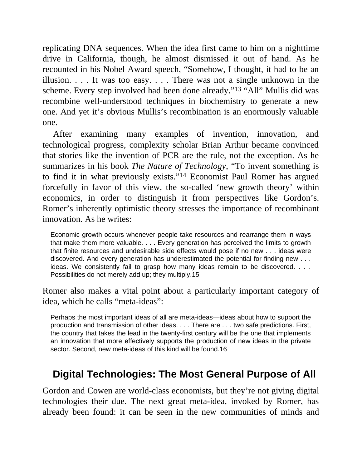replicating DNA sequences. When the idea first came to him on a nighttime drive in California, though, he almost dismissed it out of hand. As he recounted in his Nobel Award speech, "Somehow, I thought, it had to be an illusion. . . . It was too easy. . . . There was not a single unknown in the scheme. Every step involved had been done already."<sup>13</sup> "All" Mullis did was recombine well-understood techniques in biochemistry to generate a new one. And yet it's obvious Mullis's recombination is an enormously valuable one.

After examining many examples of invention, innovation, and technological progress, complexity scholar Brian Arthur became convinced that stories like the invention of PCR are the rule, not the exception. As he summarizes in his book *The Nature of Technology*, "To invent something is to find it in what previously exists." 14 Economist Paul Romer has argued forcefully in favor of this view, the so-called 'new growth theory' within economics, in order to distinguish it from perspectives like Gordon's. Romer's inherently optimistic theory stresses the importance of recombinant innovation. As he writes:

Economic growth occurs whenever people take resources and rearrange them in ways that make them more valuable. . . . Every generation has perceived the limits to growth that finite resources and undesirable side effects would pose if no new . . . ideas were discovered. And every generation has underestimated the potential for finding new . . . ideas. We consistently fail to grasp how many ideas remain to be discovered. . . . Possibilities do not merely add up; they multiply.15

Romer also makes a vital point about a particularly important category of idea, which he calls "meta-ideas":

Perhaps the most important ideas of all are meta-ideas—ideas about how to support the production and transmission of other ideas. . . . There are . . . two safe predictions. First, the country that takes the lead in the twenty-first century will be the one that implements an innovation that more effectively supports the production of new ideas in the private sector. Second, new meta-ideas of this kind will be found.16

## **Digital Technologies: The Most General Purpose of All**

Gordon and Cowen are world-class economists, but they're not giving digital technologies their due. The next great meta-idea, invoked by Romer, has already been found: it can be seen in the new communities of minds and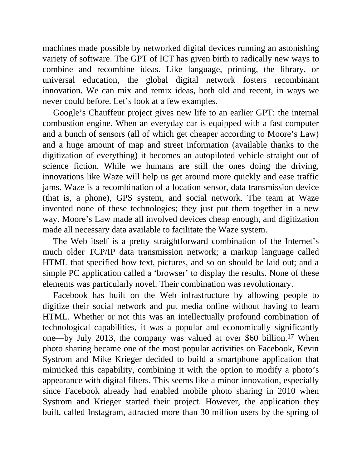machines made possible by networked digital devices running an astonishing variety of software. The GPT of ICT has given birth to radically new ways to combine and recombine ideas. Like language, printing, the library, or universal education, the global digital network fosters recombinant innovation. We can mix and remix ideas, both old and recent, in ways we never could before. Let's look at a few examples.

Google's Chauffeur project gives new life to an earlier GPT: the internal combustion engine. When an everyday car is equipped with a fast computer and a bunch of sensors (all of which get cheaper according to Moore's Law) and a huge amount of map and street information (available thanks to the digitization of everything) it becomes an autopiloted vehicle straight out of science fiction. While we humans are still the ones doing the driving, innovations like Waze will help us get around more quickly and ease traffic jams. Waze is a recombination of a location sensor, data transmission device (that is, a phone), GPS system, and social network. The team at Waze invented none of these technologies; they just put them together in a new way. Moore's Law made all involved devices cheap enough, and digitization made all necessary data available to facilitate the Waze system.

The Web itself is a pretty straightforward combination of the Internet's much older TCP/IP data transmission network; a markup language called HTML that specified how text, pictures, and so on should be laid out; and a simple PC application called a 'browser' to display the results. None of these elements was particularly novel. Their combination was revolutionary.

Facebook has built on the Web infrastructure by allowing people to digitize their social network and put media online without having to learn HTML. Whether or not this was an intellectually profound combination of technological capabilities, it was a popular and economically significantly one—by July 2013, the company was valued at over \$60 billion.17 When photo sharing became one of the most popular activities on Facebook, Kevin Systrom and Mike Krieger decided to build a smartphone application that mimicked this capability, combining it with the option to modify a photo's appearance with digital filters. This seems like a minor innovation, especially since Facebook already had enabled mobile photo sharing in 2010 when Systrom and Krieger started their project. However, the application they built, called Instagram, attracted more than 30 million users by the spring of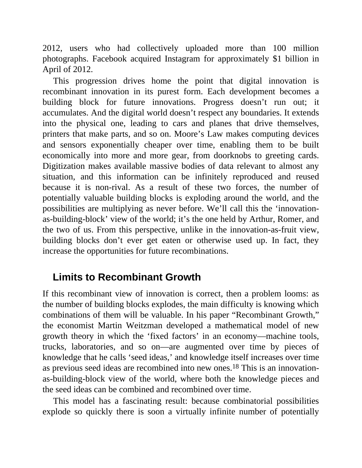2012, users who had collectively uploaded more than 100 million photographs. Facebook acquired Instagram for approximately \$1 billion in April of 2012.

This progression drives home the point that digital innovation is recombinant innovation in its purest form. Each development becomes a building block for future innovations. Progress doesn't run out; it accumulates. And the digital world doesn't respect any boundaries. It extends into the physical one, leading to cars and planes that drive themselves, printers that make parts, and so on. Moore's Law makes computing devices and sensors exponentially cheaper over time, enabling them to be built economically into more and more gear, from doorknobs to greeting cards. Digitization makes available massive bodies of data relevant to almost any situation, and this information can be infinitely reproduced and reused because it is non-rival. As a result of these two forces, the number of potentially valuable building blocks is exploding around the world, and the possibilities are multiplying as never before. We'll call this the 'innovationas-building-block' view of the world; it's the one held by Arthur, Romer, and the two of us. From this perspective, unlike in the innovation-as-fruit view, building blocks don't ever get eaten or otherwise used up. In fact, they increase the opportunities for future recombinations.

#### **Limits to Recombinant Growth**

If this recombinant view of innovation is correct, then a problem looms: as the number of building blocks explodes, the main difficulty is knowing which combinations of them will be valuable. In his paper "Recombinant Growth," the economist Martin Weitzman developed a mathematical model of new growth theory in which the 'fixed factors' in an economy—machine tools, trucks, laboratories, and so on—are augmented over time by pieces of knowledge that he calls 'seed ideas,' and knowledge itself increases over time as previous seed ideas are recombined into new ones.18 This is an innovationas-building-block view of the world, where both the knowledge pieces and the seed ideas can be combined and recombined over time.

This model has a fascinating result: because combinatorial possibilities explode so quickly there is soon a virtually infinite number of potentially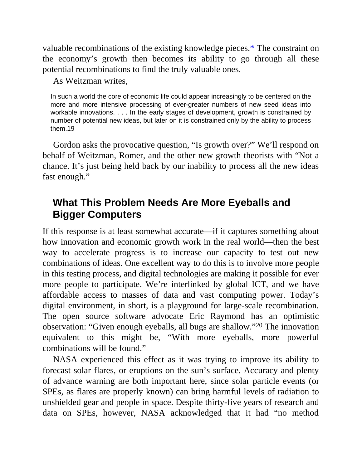valuable recombinations of the existing knowledge pieces[.\\*](#page-14-2) The constraint on the economy's growth then becomes its ability to go through all these potential recombinations to find the truly valuable ones.

<span id="page-9-0"></span>As Weitzman writes,

In such a world the core of economic life could appear increasingly to be centered on the more and more intensive processing of ever-greater numbers of new seed ideas into workable innovations. . . . In the early stages of development, growth is constrained by number of potential new ideas, but later on it is constrained only by the ability to process them.19

Gordon asks the provocative question, "Is growth over?" We'll respond on behalf of Weitzman, Romer, and the other new growth theorists with "Not a chance. It's just being held back by our inability to process all the new ideas fast enough."

# **What This Problem Needs Are More Eyeballs and Bigger Computers**

If this response is at least somewhat accurate—if it captures something about how innovation and economic growth work in the real world—then the best way to accelerate progress is to increase our capacity to test out new combinations of ideas. One excellent way to do this is to involve more people in this testing process, and digital technologies are making it possible for ever more people to participate. We're interlinked by global ICT, and we have affordable access to masses of data and vast computing power. Today's digital environment, in short, is a playground for large-scale recombination. The open source software advocate Eric Raymond has an optimistic observation: "Given enough eyeballs, all bugs are shallow." 20 The innovation equivalent to this might be, "With more eyeballs, more powerful combinations will be found."

NASA experienced this effect as it was trying to improve its ability to forecast solar flares, or eruptions on the sun's surface. Accuracy and plenty of advance warning are both important here, since solar particle events (or SPEs, as flares are properly known) can bring harmful levels of radiation to unshielded gear and people in space. Despite thirty-five years of research and data on SPEs, however, NASA acknowledged that it had "no method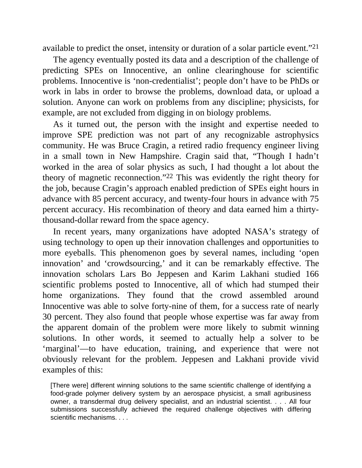available to predict the onset, intensity or duration of a solar particle event."<sup>21</sup>

The agency eventually posted its data and a description of the challenge of predicting SPEs on Innocentive, an online clearinghouse for scientific problems. Innocentive is 'non-credentialist'; people don't have to be PhDs or work in labs in order to browse the problems, download data, or upload a solution. Anyone can work on problems from any discipline; physicists, for example, are not excluded from digging in on biology problems.

As it turned out, the person with the insight and expertise needed to improve SPE prediction was not part of any recognizable astrophysics community. He was Bruce Cragin, a retired radio frequency engineer living in a small town in New Hampshire. Cragin said that, "Though I hadn't worked in the area of solar physics as such, I had thought a lot about the theory of magnetic reconnection." 22 This was evidently the right theory for the job, because Cragin's approach enabled prediction of SPEs eight hours in advance with 85 percent accuracy, and twenty-four hours in advance with 75 percent accuracy. His recombination of theory and data earned him a thirtythousand-dollar reward from the space agency.

In recent years, many organizations have adopted NASA's strategy of using technology to open up their innovation challenges and opportunities to more eyeballs. This phenomenon goes by several names, including 'open innovation' and 'crowdsourcing,' and it can be remarkably effective. The innovation scholars Lars Bo Jeppesen and Karim Lakhani studied 166 scientific problems posted to Innocentive, all of which had stumped their home organizations. They found that the crowd assembled around Innocentive was able to solve forty-nine of them, for a success rate of nearly 30 percent. They also found that people whose expertise was far away from the apparent domain of the problem were more likely to submit winning solutions. In other words, it seemed to actually help a solver to be 'marginal'—to have education, training, and experience that were not obviously relevant for the problem. Jeppesen and Lakhani provide vivid examples of this:

[There were] different winning solutions to the same scientific challenge of identifying a food-grade polymer delivery system by an aerospace physicist, a small agribusiness owner, a transdermal drug delivery specialist, and an industrial scientist. . . . All four submissions successfully achieved the required challenge objectives with differing scientific mechanisms. . . .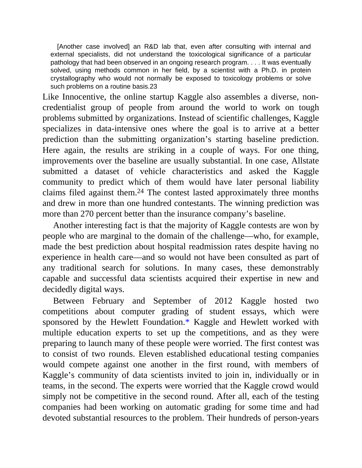[Another case involved] an R&D lab that, even after consulting with internal and external specialists, did not understand the toxicological significance of a particular pathology that had been observed in an ongoing research program. . . . It was eventually solved, using methods common in her field, by a scientist with a Ph.D. in protein crystallography who would not normally be exposed to toxicology problems or solve such problems on a routine basis.23

Like Innocentive, the online startup Kaggle also assembles a diverse, noncredentialist group of people from around the world to work on tough problems submitted by organizations. Instead of scientific challenges, Kaggle specializes in data-intensive ones where the goal is to arrive at a better prediction than the submitting organization's starting baseline prediction. Here again, the results are striking in a couple of ways. For one thing, improvements over the baseline are usually substantial. In one case, Allstate submitted a dataset of vehicle characteristics and asked the Kaggle community to predict which of them would have later personal liability claims filed against them.24 The contest lasted approximately three months and drew in more than one hundred contestants. The winning prediction was more than 270 percent better than the insurance company's baseline.

Another interesting fact is that the majority of Kaggle contests are won by people who are marginal to the domain of the challenge—who, for example, made the best prediction about hospital readmission rates despite having no experience in health care—and so would not have been consulted as part of any traditional search for solutions. In many cases, these demonstrably capable and successful data scientists acquired their expertise in new and decidedly digital ways.

<span id="page-11-0"></span>Between February and September of 2012 Kaggle hosted two competitions about computer grading of student essays, which were sponsored by the Hewlett Foundation[.\\*](#page-14-3) Kaggle and Hewlett worked with multiple education experts to set up the competitions, and as they were preparing to launch many of these people were worried. The first contest was to consist of two rounds. Eleven established educational testing companies would compete against one another in the first round, with members of Kaggle's community of data scientists invited to join in, individually or in teams, in the second. The experts were worried that the Kaggle crowd would simply not be competitive in the second round. After all, each of the testing companies had been working on automatic grading for some time and had devoted substantial resources to the problem. Their hundreds of person-years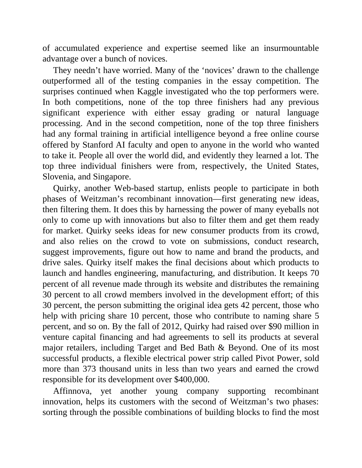of accumulated experience and expertise seemed like an insurmountable advantage over a bunch of novices.

They needn't have worried. Many of the 'novices' drawn to the challenge outperformed all of the testing companies in the essay competition. The surprises continued when Kaggle investigated who the top performers were. In both competitions, none of the top three finishers had any previous significant experience with either essay grading or natural language processing. And in the second competition, none of the top three finishers had any formal training in artificial intelligence beyond a free online course offered by Stanford AI faculty and open to anyone in the world who wanted to take it. People all over the world did, and evidently they learned a lot. The top three individual finishers were from, respectively, the United States, Slovenia, and Singapore.

Quirky, another Web-based startup, enlists people to participate in both phases of Weitzman's recombinant innovation—first generating new ideas, then filtering them. It does this by harnessing the power of many eyeballs not only to come up with innovations but also to filter them and get them ready for market. Quirky seeks ideas for new consumer products from its crowd, and also relies on the crowd to vote on submissions, conduct research, suggest improvements, figure out how to name and brand the products, and drive sales. Quirky itself makes the final decisions about which products to launch and handles engineering, manufacturing, and distribution. It keeps 70 percent of all revenue made through its website and distributes the remaining 30 percent to all crowd members involved in the development effort; of this 30 percent, the person submitting the original idea gets 42 percent, those who help with pricing share 10 percent, those who contribute to naming share 5 percent, and so on. By the fall of 2012, Quirky had raised over \$90 million in venture capital financing and had agreements to sell its products at several major retailers, including Target and Bed Bath & Beyond. One of its most successful products, a flexible electrical power strip called Pivot Power, sold more than 373 thousand units in less than two years and earned the crowd responsible for its development over \$400,000.

Affinnova, yet another young company supporting recombinant innovation, helps its customers with the second of Weitzman's two phases: sorting through the possible combinations of building blocks to find the most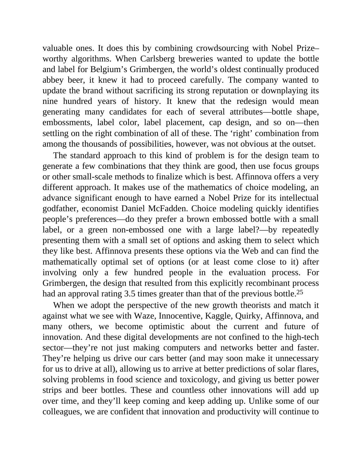valuable ones. It does this by combining crowdsourcing with Nobel Prize– worthy algorithms. When Carlsberg breweries wanted to update the bottle and label for Belgium's Grimbergen, the world's oldest continually produced abbey beer, it knew it had to proceed carefully. The company wanted to update the brand without sacrificing its strong reputation or downplaying its nine hundred years of history. It knew that the redesign would mean generating many candidates for each of several attributes—bottle shape, embossments, label color, label placement, cap design, and so on—then settling on the right combination of all of these. The 'right' combination from among the thousands of possibilities, however, was not obvious at the outset.

The standard approach to this kind of problem is for the design team to generate a few combinations that they think are good, then use focus groups or other small-scale methods to finalize which is best. Affinnova offers a very different approach. It makes use of the mathematics of choice modeling, an advance significant enough to have earned a Nobel Prize for its intellectual godfather, economist Daniel McFadden. Choice modeling quickly identifies people's preferences—do they prefer a brown embossed bottle with a small label, or a green non-embossed one with a large label?—by repeatedly presenting them with a small set of options and asking them to select which they like best. Affinnova presents these options via the Web and can find the mathematically optimal set of options (or at least come close to it) after involving only a few hundred people in the evaluation process. For Grimbergen, the design that resulted from this explicitly recombinant process had an approval rating 3.5 times greater than that of the previous bottle.<sup>25</sup>

When we adopt the perspective of the new growth theorists and match it against what we see with Waze, Innocentive, Kaggle, Quirky, Affinnova, and many others, we become optimistic about the current and future of innovation. And these digital developments are not confined to the high-tech sector—they're not just making computers and networks better and faster. They're helping us drive our cars better (and may soon make it unnecessary for us to drive at all), allowing us to arrive at better predictions of solar flares, solving problems in food science and toxicology, and giving us better power strips and beer bottles. These and countless other innovations will add up over time, and they'll keep coming and keep adding up. Unlike some of our colleagues, we are confident that innovation and productivity will continue to